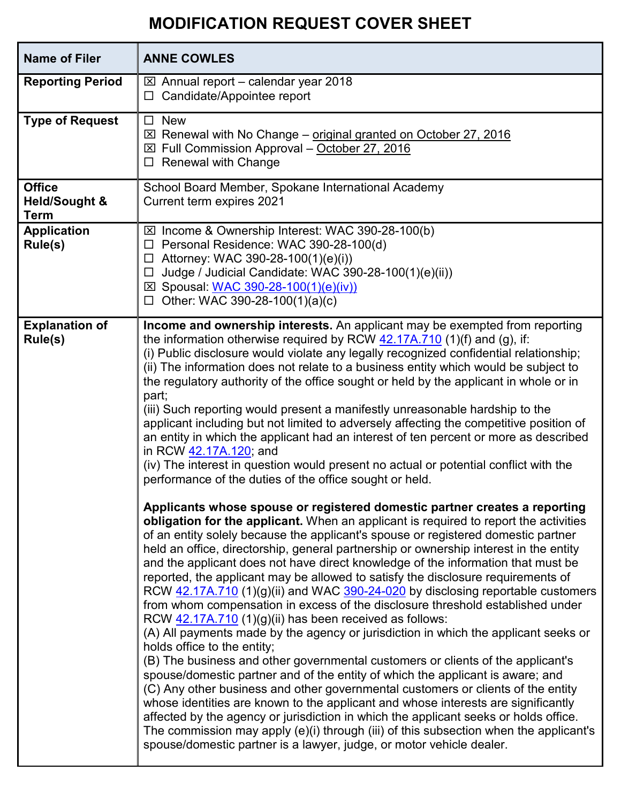## **MODIFICATION REQUEST COVER SHEET**

| <b>Name of Filer</b>                                     | <b>ANNE COWLES</b>                                                                                                                                                                                                                                                                                                                                                                                                                                                                                                                                                                                                                                                                                                                                                                                                                                                                                                                                                                                                                                                                                                                                                                                                                                                                                                                                                                                                                                                                                                                                                                                                                                                                                                                                                                                                                                                                                                                                                                                                                                                                                                                                                                                                                                                                                                                                                                        |
|----------------------------------------------------------|-------------------------------------------------------------------------------------------------------------------------------------------------------------------------------------------------------------------------------------------------------------------------------------------------------------------------------------------------------------------------------------------------------------------------------------------------------------------------------------------------------------------------------------------------------------------------------------------------------------------------------------------------------------------------------------------------------------------------------------------------------------------------------------------------------------------------------------------------------------------------------------------------------------------------------------------------------------------------------------------------------------------------------------------------------------------------------------------------------------------------------------------------------------------------------------------------------------------------------------------------------------------------------------------------------------------------------------------------------------------------------------------------------------------------------------------------------------------------------------------------------------------------------------------------------------------------------------------------------------------------------------------------------------------------------------------------------------------------------------------------------------------------------------------------------------------------------------------------------------------------------------------------------------------------------------------------------------------------------------------------------------------------------------------------------------------------------------------------------------------------------------------------------------------------------------------------------------------------------------------------------------------------------------------------------------------------------------------------------------------------------------------|
| <b>Reporting Period</b>                                  | $\boxtimes$ Annual report - calendar year 2018<br>Candidate/Appointee report<br>$\Box$                                                                                                                                                                                                                                                                                                                                                                                                                                                                                                                                                                                                                                                                                                                                                                                                                                                                                                                                                                                                                                                                                                                                                                                                                                                                                                                                                                                                                                                                                                                                                                                                                                                                                                                                                                                                                                                                                                                                                                                                                                                                                                                                                                                                                                                                                                    |
| <b>Type of Request</b>                                   | $\square$ New<br>$\boxtimes$ Renewal with No Change – original granted on October 27, 2016<br>$\boxtimes$ Full Commission Approval – October 27, 2016<br>$\Box$ Renewal with Change                                                                                                                                                                                                                                                                                                                                                                                                                                                                                                                                                                                                                                                                                                                                                                                                                                                                                                                                                                                                                                                                                                                                                                                                                                                                                                                                                                                                                                                                                                                                                                                                                                                                                                                                                                                                                                                                                                                                                                                                                                                                                                                                                                                                       |
| <b>Office</b><br><b>Held/Sought &amp;</b><br><b>Term</b> | School Board Member, Spokane International Academy<br>Current term expires 2021                                                                                                                                                                                                                                                                                                                                                                                                                                                                                                                                                                                                                                                                                                                                                                                                                                                                                                                                                                                                                                                                                                                                                                                                                                                                                                                                                                                                                                                                                                                                                                                                                                                                                                                                                                                                                                                                                                                                                                                                                                                                                                                                                                                                                                                                                                           |
| <b>Application</b><br>Rule(s)                            | ⊠ Income & Ownership Interest: WAC 390-28-100(b)<br>□ Personal Residence: WAC 390-28-100(d)<br>$\Box$ Attorney: WAC 390-28-100(1)(e)(i))<br>$\Box$ Judge / Judicial Candidate: WAC 390-28-100(1)(e)(ii))<br>⊠ Spousal: WAC 390-28-100(1)(e)(iv))<br>Other: WAC 390-28-100(1)(a)(c)                                                                                                                                                                                                                                                                                                                                                                                                                                                                                                                                                                                                                                                                                                                                                                                                                                                                                                                                                                                                                                                                                                                                                                                                                                                                                                                                                                                                                                                                                                                                                                                                                                                                                                                                                                                                                                                                                                                                                                                                                                                                                                        |
| <b>Explanation of</b><br>Rule(s)                         | Income and ownership interests. An applicant may be exempted from reporting<br>the information otherwise required by RCW $42.17A.710$ (1)(f) and (g), if:<br>(i) Public disclosure would violate any legally recognized confidential relationship;<br>(ii) The information does not relate to a business entity which would be subject to<br>the regulatory authority of the office sought or held by the applicant in whole or in<br>part;<br>(iii) Such reporting would present a manifestly unreasonable hardship to the<br>applicant including but not limited to adversely affecting the competitive position of<br>an entity in which the applicant had an interest of ten percent or more as described<br>in RCW 42.17A.120; and<br>(iv) The interest in question would present no actual or potential conflict with the<br>performance of the duties of the office sought or held.<br>Applicants whose spouse or registered domestic partner creates a reporting<br>obligation for the applicant. When an applicant is required to report the activities<br>of an entity solely because the applicant's spouse or registered domestic partner<br>held an office, directorship, general partnership or ownership interest in the entity<br>and the applicant does not have direct knowledge of the information that must be<br>reported, the applicant may be allowed to satisfy the disclosure requirements of<br>RCW $42.17A.710$ (1)(g)(ii) and WAC $390-24-020$ by disclosing reportable customers<br>from whom compensation in excess of the disclosure threshold established under<br>RCW $42.17A.710$ (1)(g)(ii) has been received as follows:<br>(A) All payments made by the agency or jurisdiction in which the applicant seeks or<br>holds office to the entity;<br>(B) The business and other governmental customers or clients of the applicant's<br>spouse/domestic partner and of the entity of which the applicant is aware; and<br>(C) Any other business and other governmental customers or clients of the entity<br>whose identities are known to the applicant and whose interests are significantly<br>affected by the agency or jurisdiction in which the applicant seeks or holds office.<br>The commission may apply (e)(i) through (iii) of this subsection when the applicant's<br>spouse/domestic partner is a lawyer, judge, or motor vehicle dealer. |